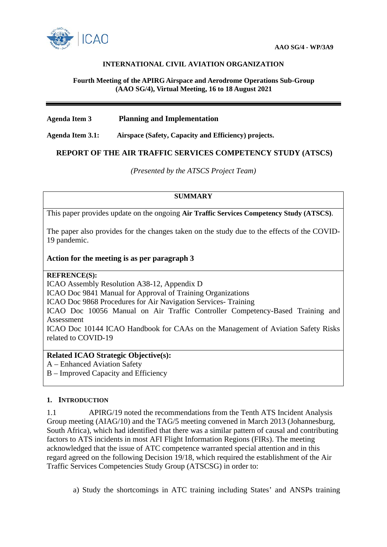

# **INTERNATIONAL CIVIL AVIATION ORGANIZATION**

#### **Fourth Meeting of the APIRG Airspace and Aerodrome Operations Sub-Group (AAO SG/4), Virtual Meeting, 16 to 18 August 2021**

# **Agenda Item 3 Planning and Implementation**

**Agenda Item 3.1: Airspace (Safety, Capacity and Efficiency) projects.**

# **REPORT OF THE AIR TRAFFIC SERVICES COMPETENCY STUDY (ATSCS)**

*(Presented by the ATSCS Project Team)*

# **SUMMARY**

This paper provides update on the ongoing **Air Traffic Services Competency Study (ATSCS)**.

The paper also provides for the changes taken on the study due to the effects of the COVID-19 pandemic.

# **Action for the meeting is as per paragraph 3**

#### **REFRENCE(S):**

ICAO Assembly Resolution A38-12, Appendix D

ICAO Doc 9841 Manual for Approval of Training Organizations

ICAO Doc 9868 Procedures for Air Navigation Services- Training

ICAO Doc 10056 Manual on Air Traffic Controller Competency-Based Training and Assessment

ICAO Doc 10144 ICAO Handbook for CAAs on the Management of Aviation Safety Risks related to COVID-19

# **Related ICAO Strategic Objective(s):**

A – Enhanced Aviation Safety

B – Improved Capacity and Efficiency

# **1. INTRODUCTION**

1.1 APIRG/19 noted the recommendations from the Tenth ATS Incident Analysis Group meeting (AIAG/10) and the TAG/5 meeting convened in March 2013 (Johannesburg, South Africa), which had identified that there was a similar pattern of causal and contributing factors to ATS incidents in most AFI Flight Information Regions (FIRs). The meeting acknowledged that the issue of ATC competence warranted special attention and in this regard agreed on the following Decision 19/18, which required the establishment of the Air Traffic Services Competencies Study Group (ATSCSG) in order to:

a) Study the shortcomings in ATC training including States' and ANSPs training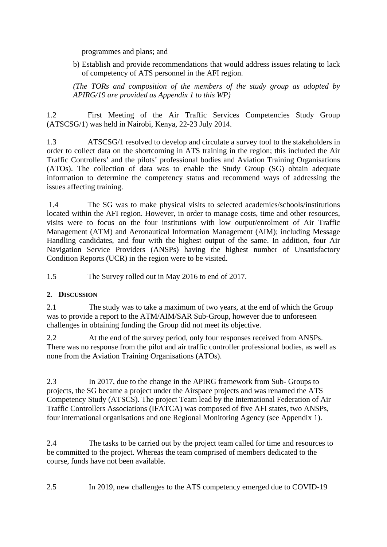programmes and plans; and

b) Establish and provide recommendations that would address issues relating to lack of competency of ATS personnel in the AFI region.

*(The TORs and composition of the members of the study group as adopted by APIRG/19 are provided as Appendix 1 to this WP)*

1.2 First Meeting of the Air Traffic Services Competencies Study Group (ATSCSG/1) was held in Nairobi, Kenya, 22-23 July 2014.

1.3 ATSCSG/1 resolved to develop and circulate a survey tool to the stakeholders in order to collect data on the shortcoming in ATS training in the region; this included the Air Traffic Controllers' and the pilots' professional bodies and Aviation Training Organisations (ATOs). The collection of data was to enable the Study Group (SG) obtain adequate information to determine the competency status and recommend ways of addressing the issues affecting training.

1.4 The SG was to make physical visits to selected academies/schools/institutions located within the AFI region. However, in order to manage costs, time and other resources, visits were to focus on the four institutions with low output/enrolment of Air Traffic Management (ATM) and Aeronautical Information Management (AIM); including Message Handling candidates, and four with the highest output of the same. In addition, four Air Navigation Service Providers (ANSPs) having the highest number of Unsatisfactory Condition Reports (UCR) in the region were to be visited.

1.5 The Survey rolled out in May 2016 to end of 2017.

# **2. DISCUSSION**

2.1 The study was to take a maximum of two years, at the end of which the Group was to provide a report to the ATM/AIM/SAR Sub-Group, however due to unforeseen challenges in obtaining funding the Group did not meet its objective.

2.2 At the end of the survey period, only four responses received from ANSPs. There was no response from the pilot and air traffic controller professional bodies, as well as none from the Aviation Training Organisations (ATOs).

2.3 In 2017, due to the change in the APIRG framework from Sub- Groups to projects, the SG became a project under the Airspace projects and was renamed the ATS Competency Study (ATSCS). The project Team lead by the International Federation of Air Traffic Controllers Associations (IFATCA) was composed of five AFI states, two ANSPs, four international organisations and one Regional Monitoring Agency (see Appendix 1).

2.4 The tasks to be carried out by the project team called for time and resources to be committed to the project. Whereas the team comprised of members dedicated to the course, funds have not been available.

2.5 In 2019, new challenges to the ATS competency emerged due to COVID-19